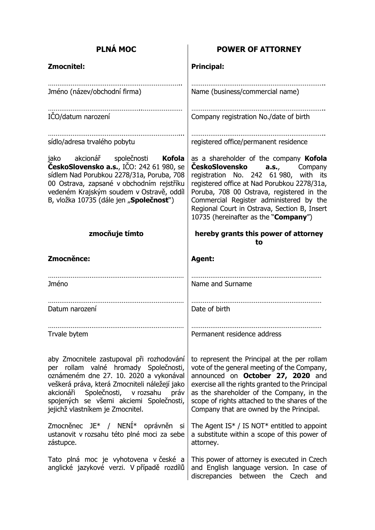| <b>PLNÁ MOC</b>                                                                                                                                                                                                                                                                                          | <b>POWER OF ATTORNEY</b>                                                                                                                                                                                                                                                                                                                                 |
|----------------------------------------------------------------------------------------------------------------------------------------------------------------------------------------------------------------------------------------------------------------------------------------------------------|----------------------------------------------------------------------------------------------------------------------------------------------------------------------------------------------------------------------------------------------------------------------------------------------------------------------------------------------------------|
| <b>Zmocnitel:</b>                                                                                                                                                                                                                                                                                        | <b>Principal:</b>                                                                                                                                                                                                                                                                                                                                        |
| Jméno (název/obchodní firma)                                                                                                                                                                                                                                                                             | Name (business/commercial name)                                                                                                                                                                                                                                                                                                                          |
| ICO/datum narození                                                                                                                                                                                                                                                                                       | Company registration No./date of birth                                                                                                                                                                                                                                                                                                                   |
| sídlo/adresa trvalého pobytu                                                                                                                                                                                                                                                                             | registered office/permanent residence                                                                                                                                                                                                                                                                                                                    |
| jako akcionář společnosti Kofola<br>ČeskoSlovensko a.s., IČO: 242 61 980, se<br>sídlem Nad Porubkou 2278/31a, Poruba, 708<br>00 Ostrava, zapsané v obchodním rejstříku<br>vedeném Krajským soudem v Ostravě, oddíl<br>B, vložka 10735 (dále jen "Společnosť")                                            | as a shareholder of the company Kofola<br>CeskoSlovensko<br><b>a.s.,</b> Company<br>registration No. 242 61 980, with its<br>registered office at Nad Porubkou 2278/31a,<br>Poruba, 708 00 Ostrava, registered in the<br>Commercial Register administered by the<br>Regional Court in Ostrava, Section B, Insert<br>10735 (hereinafter as the "Company") |
| zmocňuje tímto                                                                                                                                                                                                                                                                                           | hereby grants this power of attorney<br>to                                                                                                                                                                                                                                                                                                               |
| Zmocněnce:                                                                                                                                                                                                                                                                                               | <b>Agent:</b>                                                                                                                                                                                                                                                                                                                                            |
| Jméno                                                                                                                                                                                                                                                                                                    | Name and Surname                                                                                                                                                                                                                                                                                                                                         |
| Datum narození                                                                                                                                                                                                                                                                                           | Date of birth                                                                                                                                                                                                                                                                                                                                            |
| Trvale bytem                                                                                                                                                                                                                                                                                             | Permanent residence address                                                                                                                                                                                                                                                                                                                              |
| aby Zmocnitele zastupoval při rozhodování<br>per rollam valné hromady Společnosti,<br>oznámeném dne 27. 10. 2020 a vykonával<br>veškerá práva, která Zmocniteli náležejí jako<br>akcionáři Společnosti, v rozsahu<br>práv<br>spojených se všemi akciemi Společnosti,<br>jejichž vlastníkem je Zmocnitel. | to represent the Principal at the per rollam<br>vote of the general meeting of the Company,<br>announced on October 27, 2020 and<br>exercise all the rights granted to the Principal<br>as the shareholder of the Company, in the<br>scope of rights attached to the shares of the<br>Company that are owned by the Principal.                           |
| Zmocněnec JE* / NENÍ* oprávněn<br>si<br>ustanovit v rozsahu této plné moci za sebe<br>zástupce.                                                                                                                                                                                                          | The Agent IS* / IS NOT* entitled to appoint<br>a substitute within a scope of this power of<br>attorney.                                                                                                                                                                                                                                                 |
| Tato plná moc je vyhotovena v české a<br>anglické jazykové verzi. V případě rozdílů                                                                                                                                                                                                                      | This power of attorney is executed in Czech<br>and English language version. In case of<br>discrepancies between the Czech<br>and                                                                                                                                                                                                                        |